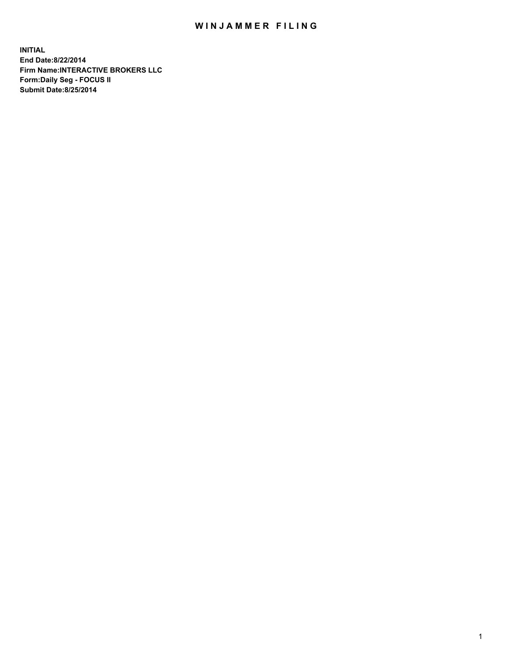## WIN JAMMER FILING

**INITIAL End Date:8/22/2014 Firm Name:INTERACTIVE BROKERS LLC Form:Daily Seg - FOCUS II Submit Date:8/25/2014**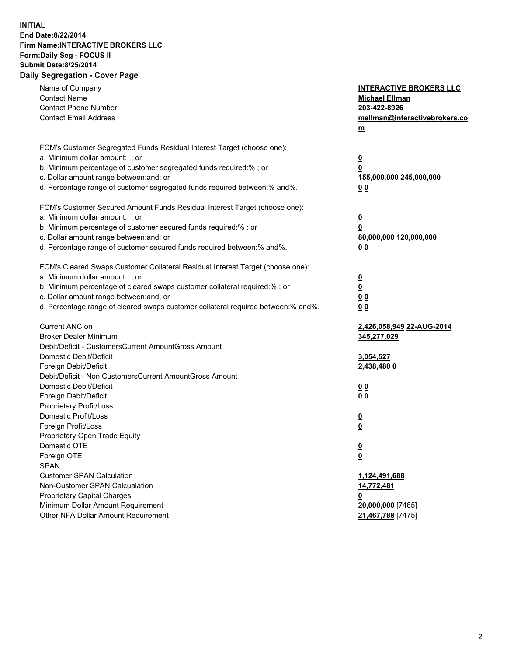## **INITIAL End Date:8/22/2014 Firm Name:INTERACTIVE BROKERS LLC Form:Daily Seg - FOCUS II Submit Date:8/25/2014 Daily Segregation - Cover Page**

| Name of Company<br><b>Contact Name</b><br><b>Contact Phone Number</b><br><b>Contact Email Address</b>    | <b>INTERACTIVE BROKERS LLC</b><br><b>Michael Ellman</b><br>203-422-8926<br>mellman@interactivebrokers.co<br>$m$ |
|----------------------------------------------------------------------------------------------------------|-----------------------------------------------------------------------------------------------------------------|
| FCM's Customer Segregated Funds Residual Interest Target (choose one):<br>a. Minimum dollar amount: ; or | $\overline{\mathbf{0}}$                                                                                         |
| b. Minimum percentage of customer segregated funds required:% ; or                                       | 0                                                                                                               |
| c. Dollar amount range between: and; or                                                                  | 155,000,000 245,000,000                                                                                         |
| d. Percentage range of customer segregated funds required between:% and%.                                | 0 <sub>0</sub>                                                                                                  |
| FCM's Customer Secured Amount Funds Residual Interest Target (choose one):                               |                                                                                                                 |
| a. Minimum dollar amount: ; or                                                                           | $\overline{\mathbf{0}}$                                                                                         |
| b. Minimum percentage of customer secured funds required:% ; or                                          | 0                                                                                                               |
| c. Dollar amount range between: and; or                                                                  | 80,000,000 120,000,000                                                                                          |
| d. Percentage range of customer secured funds required between:% and%.                                   | 0 <sub>0</sub>                                                                                                  |
| FCM's Cleared Swaps Customer Collateral Residual Interest Target (choose one):                           |                                                                                                                 |
| a. Minimum dollar amount: ; or                                                                           | $\overline{\mathbf{0}}$                                                                                         |
| b. Minimum percentage of cleared swaps customer collateral required:% ; or                               | $\overline{\mathbf{0}}$                                                                                         |
| c. Dollar amount range between: and; or                                                                  | 0 <sub>0</sub>                                                                                                  |
| d. Percentage range of cleared swaps customer collateral required between:% and%.                        | 0 <sub>0</sub>                                                                                                  |
| Current ANC:on                                                                                           | 2,426,058,949 22-AUG-2014                                                                                       |
| <b>Broker Dealer Minimum</b>                                                                             | 345,277,029                                                                                                     |
| Debit/Deficit - CustomersCurrent AmountGross Amount                                                      |                                                                                                                 |
| Domestic Debit/Deficit                                                                                   | 3,054,527                                                                                                       |
| Foreign Debit/Deficit                                                                                    | 2,438,480 0                                                                                                     |
| Debit/Deficit - Non CustomersCurrent AmountGross Amount                                                  |                                                                                                                 |
| Domestic Debit/Deficit                                                                                   | 0 <sub>0</sub>                                                                                                  |
| Foreign Debit/Deficit<br>Proprietary Profit/Loss                                                         | 0 <sub>0</sub>                                                                                                  |
| Domestic Profit/Loss                                                                                     |                                                                                                                 |
| Foreign Profit/Loss                                                                                      | $\overline{\mathbf{0}}$<br>$\underline{\mathbf{0}}$                                                             |
| Proprietary Open Trade Equity                                                                            |                                                                                                                 |
| Domestic OTE                                                                                             | <u>0</u>                                                                                                        |
| Foreign OTE                                                                                              | <u>0</u>                                                                                                        |
| <b>SPAN</b>                                                                                              |                                                                                                                 |
| <b>Customer SPAN Calculation</b>                                                                         | 1,124,491,688                                                                                                   |
| Non-Customer SPAN Calcualation                                                                           | 14,772,481                                                                                                      |
| Proprietary Capital Charges                                                                              | <u>0</u>                                                                                                        |
| Minimum Dollar Amount Requirement                                                                        | 20,000,000 [7465]                                                                                               |
| Other NFA Dollar Amount Requirement                                                                      | 21,467,788 [7475]                                                                                               |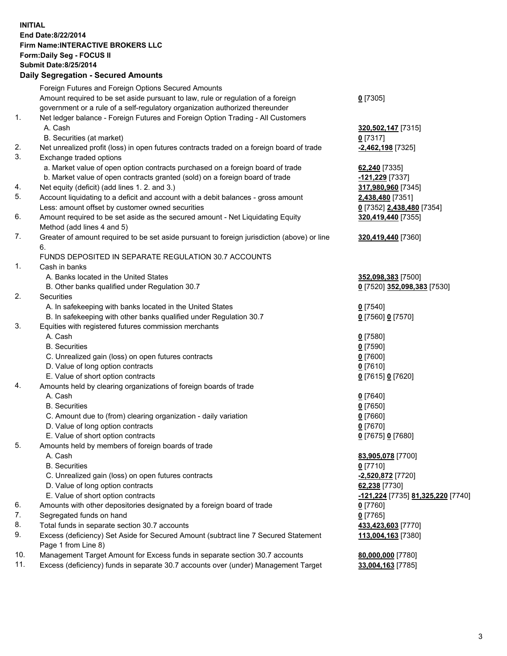## **INITIAL End Date:8/22/2014 Firm Name:INTERACTIVE BROKERS LLC Form:Daily Seg - FOCUS II Submit Date:8/25/2014 Daily Segregation - Secured Amounts**

|     | Daily Ocglegation - Occarea Anioants                                                                       |                                   |
|-----|------------------------------------------------------------------------------------------------------------|-----------------------------------|
|     | Foreign Futures and Foreign Options Secured Amounts                                                        |                                   |
|     | Amount required to be set aside pursuant to law, rule or regulation of a foreign                           | $0$ [7305]                        |
|     | government or a rule of a self-regulatory organization authorized thereunder                               |                                   |
| 1.  | Net ledger balance - Foreign Futures and Foreign Option Trading - All Customers                            |                                   |
|     | A. Cash                                                                                                    | 320,502,147 [7315]                |
|     | B. Securities (at market)                                                                                  | $0$ [7317]                        |
| 2.  | Net unrealized profit (loss) in open futures contracts traded on a foreign board of trade                  | -2,462,198 <sup>[7325]</sup>      |
| 3.  | Exchange traded options                                                                                    |                                   |
|     | a. Market value of open option contracts purchased on a foreign board of trade                             | 62,240 [7335]                     |
|     | b. Market value of open contracts granted (sold) on a foreign board of trade                               | -121,229 [7337]                   |
| 4.  | Net equity (deficit) (add lines 1.2. and 3.)                                                               | 317,980,960 [7345]                |
| 5.  | Account liquidating to a deficit and account with a debit balances - gross amount                          | 2,438,480 [7351]                  |
|     | Less: amount offset by customer owned securities                                                           | 0 [7352] 2,438,480 [7354]         |
| 6.  | Amount required to be set aside as the secured amount - Net Liquidating Equity                             | 320,419,440 [7355]                |
|     | Method (add lines 4 and 5)                                                                                 |                                   |
| 7.  | Greater of amount required to be set aside pursuant to foreign jurisdiction (above) or line                | 320,419,440 [7360]                |
|     | 6.                                                                                                         |                                   |
|     | FUNDS DEPOSITED IN SEPARATE REGULATION 30.7 ACCOUNTS                                                       |                                   |
| 1.  | Cash in banks                                                                                              |                                   |
|     | A. Banks located in the United States                                                                      | 352,098,383 [7500]                |
|     | B. Other banks qualified under Regulation 30.7                                                             | 0 [7520] 352,098,383 [7530]       |
| 2.  | Securities                                                                                                 |                                   |
|     | A. In safekeeping with banks located in the United States                                                  | $0$ [7540]                        |
|     | B. In safekeeping with other banks qualified under Regulation 30.7                                         | 0 [7560] 0 [7570]                 |
| 3.  | Equities with registered futures commission merchants                                                      |                                   |
|     | A. Cash                                                                                                    | $0$ [7580]                        |
|     | <b>B.</b> Securities                                                                                       | $0$ [7590]                        |
|     | C. Unrealized gain (loss) on open futures contracts                                                        | $0$ [7600]                        |
|     | D. Value of long option contracts                                                                          | $0$ [7610]                        |
|     | E. Value of short option contracts                                                                         | 0 [7615] 0 [7620]                 |
| 4.  | Amounts held by clearing organizations of foreign boards of trade                                          |                                   |
|     | A. Cash                                                                                                    | $0$ [7640]                        |
|     | <b>B.</b> Securities                                                                                       | $0$ [7650]                        |
|     | C. Amount due to (from) clearing organization - daily variation                                            | $0$ [7660]                        |
|     | D. Value of long option contracts                                                                          | $0$ [7670]                        |
|     | E. Value of short option contracts                                                                         | 0 [7675] 0 [7680]                 |
| 5.  | Amounts held by members of foreign boards of trade                                                         |                                   |
|     | A. Cash                                                                                                    | 83,905,078 [7700]                 |
|     | <b>B.</b> Securities                                                                                       | $0$ [7710]                        |
|     | C. Unrealized gain (loss) on open futures contracts                                                        | -2,520,872 <sup>[7720]</sup>      |
|     | D. Value of long option contracts                                                                          | 62,238 [7730]                     |
|     | E. Value of short option contracts                                                                         | -121,224 [7735] 81,325,220 [7740] |
| 6.  | Amounts with other depositories designated by a foreign board of trade                                     | 0 [7760]                          |
| 7.  | Segregated funds on hand                                                                                   | $0$ [7765]                        |
| 8.  | Total funds in separate section 30.7 accounts                                                              | 433,423,603 [7770]                |
| 9.  | Excess (deficiency) Set Aside for Secured Amount (subtract line 7 Secured Statement<br>Page 1 from Line 8) | 113,004,163 [7380]                |
| 10. | Management Target Amount for Excess funds in separate section 30.7 accounts                                | 80,000,000 [7780]                 |
| 11. | Excess (deficiency) funds in separate 30.7 accounts over (under) Management Target                         | 33,004,163 [7785]                 |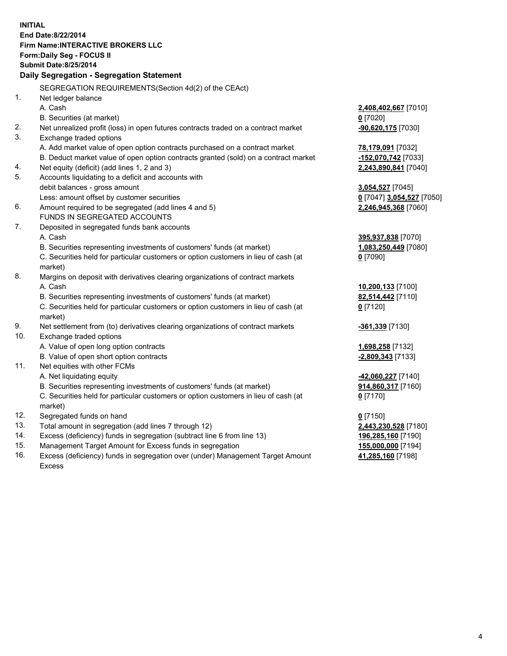**INITIAL End Date:8/22/2014 Firm Name:INTERACTIVE BROKERS LLC Form:Daily Seg - FOCUS II Submit Date:8/25/2014 Daily Segregation - Segregation Statement** SEGREGATION REQUIREMENTS(Section 4d(2) of the CEAct) 1. Net ledger balance A. Cash **2,408,402,667** [7010] B. Securities (at market) **0** [7020] 2. Net unrealized profit (loss) in open futures contracts traded on a contract market **-90,620,175** [7030] 3. Exchange traded options A. Add market value of open option contracts purchased on a contract market **78,179,091** [7032] B. Deduct market value of open option contracts granted (sold) on a contract market **-152,070,742** [7033] 4. Net equity (deficit) (add lines 1, 2 and 3) **2,243,890,841** [7040] 5. Accounts liquidating to a deficit and accounts with debit balances - gross amount **3,054,527** [7045] Less: amount offset by customer securities **0** [7047] **3,054,527** [7050] 6. Amount required to be segregated (add lines 4 and 5) **2,246,945,368** [7060] FUNDS IN SEGREGATED ACCOUNTS 7. Deposited in segregated funds bank accounts A. Cash **395,937,838** [7070] B. Securities representing investments of customers' funds (at market) **1,083,250,449** [7080] C. Securities held for particular customers or option customers in lieu of cash (at market) **0** [7090] 8. Margins on deposit with derivatives clearing organizations of contract markets A. Cash **10,200,133** [7100] B. Securities representing investments of customers' funds (at market) **82,514,442** [7110] C. Securities held for particular customers or option customers in lieu of cash (at market) **0** [7120] 9. Net settlement from (to) derivatives clearing organizations of contract markets **-361,339** [7130] 10. Exchange traded options A. Value of open long option contracts **1,698,258** [7132] B. Value of open short option contracts **and the set of open short option contracts -2,809,343** [7133] 11. Net equities with other FCMs A. Net liquidating equity **-42,060,227** [7140] B. Securities representing investments of customers' funds (at market) **914,860,317** [7160] C. Securities held for particular customers or option customers in lieu of cash (at market) **0** [7170] 12. Segregated funds on hand **0** [7150] 13. Total amount in segregation (add lines 7 through 12) **2,443,230,528** [7180] 14. Excess (deficiency) funds in segregation (subtract line 6 from line 13) **196,285,160** [7190] 15. Management Target Amount for Excess funds in segregation **155,000,000** [7194]

16. Excess (deficiency) funds in segregation over (under) Management Target Amount Excess

**41,285,160** [7198]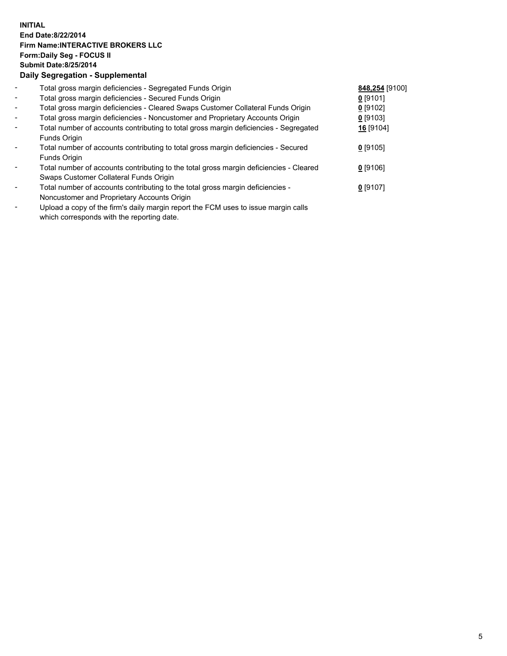## **INITIAL End Date:8/22/2014 Firm Name:INTERACTIVE BROKERS LLC Form:Daily Seg - FOCUS II Submit Date:8/25/2014 Daily Segregation - Supplemental**

| $\blacksquare$           | Total gross margin deficiencies - Segregated Funds Origin                              | 848,254 [9100] |  |
|--------------------------|----------------------------------------------------------------------------------------|----------------|--|
| $\overline{\phantom{a}}$ | Total gross margin deficiencies - Secured Funds Origin                                 | $0$ [9101]     |  |
| $\blacksquare$           | Total gross margin deficiencies - Cleared Swaps Customer Collateral Funds Origin       | $0$ [9102]     |  |
| $\overline{\phantom{a}}$ | Total gross margin deficiencies - Noncustomer and Proprietary Accounts Origin          | 0 [9103]       |  |
| $\blacksquare$           | Total number of accounts contributing to total gross margin deficiencies - Segregated  | 16 [9104]      |  |
|                          | Funds Origin                                                                           |                |  |
| $\blacksquare$           | Total number of accounts contributing to total gross margin deficiencies - Secured     | $0$ [9105]     |  |
|                          | Funds Origin                                                                           |                |  |
| $\blacksquare$           | Total number of accounts contributing to the total gross margin deficiencies - Cleared | $0$ [9106]     |  |
|                          | Swaps Customer Collateral Funds Origin                                                 |                |  |
| $\overline{\phantom{a}}$ | Total number of accounts contributing to the total gross margin deficiencies -         | $0$ [9107]     |  |
|                          | Noncustomer and Proprietary Accounts Origin                                            |                |  |
|                          | Lleised e sant ef the finele deilt mensin senart the FOM trees to issue mensing selle. |                |  |

- Upload a copy of the firm's daily margin report the FCM uses to issue margin calls which corresponds with the reporting date.